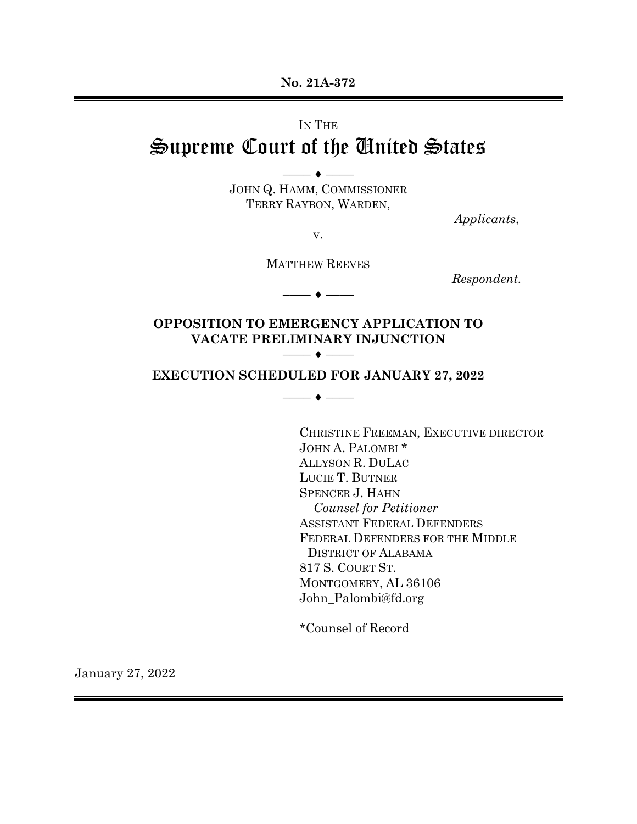**No. 21A-372**

# IN THE Supreme Court of the United States

JOHN Q. HAMM, COMMISSIONER TERRY RAYBON, WARDEN,

 $-\bullet$  —–

*Applicants*,

v.

MATTHEW REEVES

–––– ♦ ––––

*Respondent.*

**OPPOSITION TO EMERGENCY APPLICATION TO VACATE PRELIMINARY INJUNCTION**  $-\bullet$  –––

## **EXECUTION SCHEDULED FOR JANUARY 27, 2022**

–––– ♦ ––––

CHRISTINE FREEMAN, EXECUTIVE DIRECTOR JOHN A. PALOMBI \* ALLYSON R. DULAC LUCIE T. BUTNER SPENCER J. HAHN  *Counsel for Petitioner* ASSISTANT FEDERAL DEFENDERS FEDERAL DEFENDERS FOR THE MIDDLE DISTRICT OF ALABAMA 817 S. COURT ST. MONTGOMERY, AL 36106 John\_Palombi@fd.org

\*Counsel of Record

January 27, 2022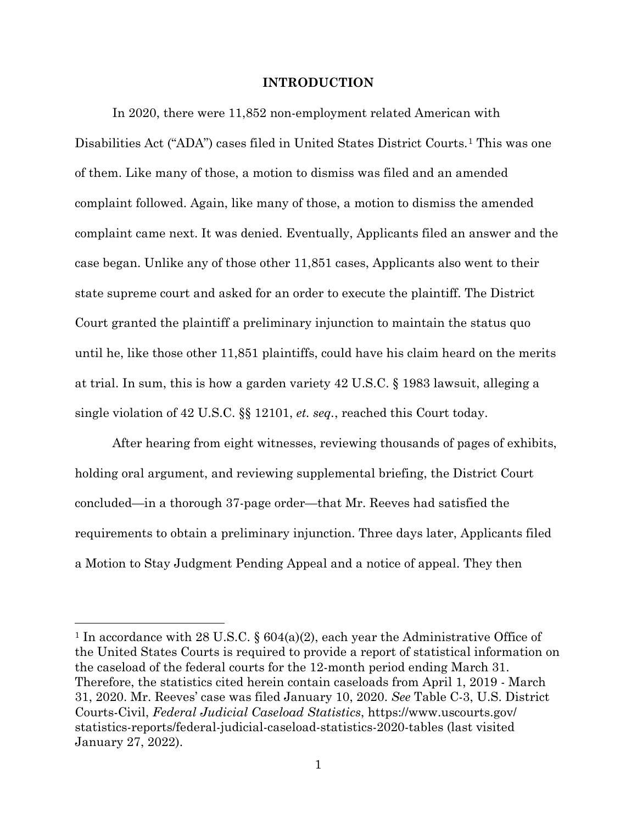### **INTRODUCTION**

In 2020, there were 11,852 non-employment related American with Disabilities Act ("ADA") cases filed in United States District Courts.[1](#page-1-0) This was one of them. Like many of those, a motion to dismiss was filed and an amended complaint followed. Again, like many of those, a motion to dismiss the amended complaint came next. It was denied. Eventually, Applicants filed an answer and the case began. Unlike any of those other 11,851 cases, Applicants also went to their state supreme court and asked for an order to execute the plaintiff. The District Court granted the plaintiff a preliminary injunction to maintain the status quo until he, like those other 11,851 plaintiffs, could have his claim heard on the merits at trial. In sum, this is how a garden variety 42 U.S.C. § 1983 lawsuit, alleging a single violation of 42 U.S.C. §§ 12101, *et. seq.*, reached this Court today.

After hearing from eight witnesses, reviewing thousands of pages of exhibits, holding oral argument, and reviewing supplemental briefing, the District Court concluded—in a thorough 37-page order—that Mr. Reeves had satisfied the requirements to obtain a preliminary injunction. Three days later, Applicants filed a Motion to Stay Judgment Pending Appeal and a notice of appeal. They then

<span id="page-1-0"></span><sup>1</sup> In accordance with 28 U.S.C. § 604(a)(2), each year the Administrative Office of the United States Courts is required to provide a report of statistical information on the caseload of the federal courts for the 12-month period ending March 31. Therefore, the statistics cited herein contain caseloads from April 1, 2019 - March 31, 2020. Mr. Reeves' case was filed January 10, 2020. *See* Table C-3, U.S. District Courts-Civil, *Federal Judicial Caseload Statistics*, https://www.uscourts.gov/ statistics-reports/federal-judicial-caseload-statistics-2020-tables (last visited January 27, 2022).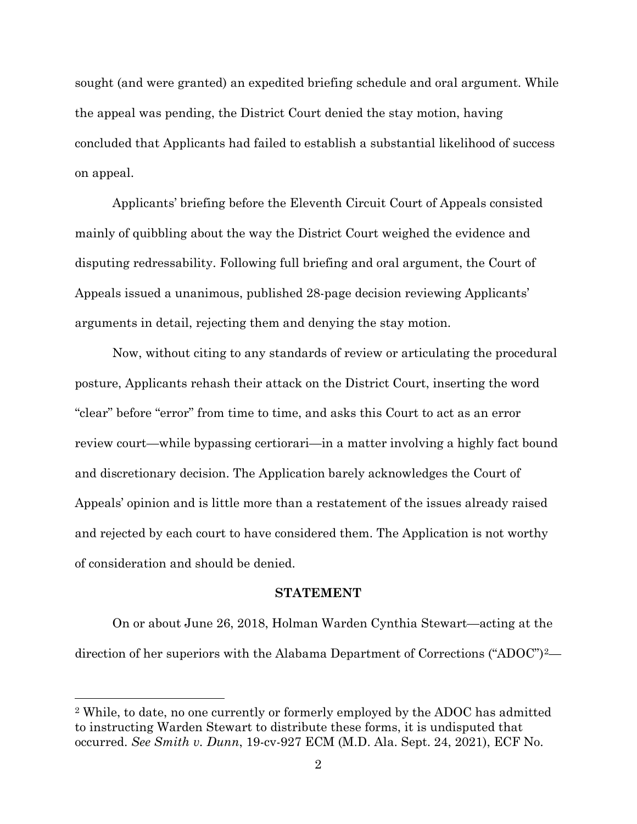sought (and were granted) an expedited briefing schedule and oral argument. While the appeal was pending, the District Court denied the stay motion, having concluded that Applicants had failed to establish a substantial likelihood of success on appeal.

Applicants' briefing before the Eleventh Circuit Court of Appeals consisted mainly of quibbling about the way the District Court weighed the evidence and disputing redressability. Following full briefing and oral argument, the Court of Appeals issued a unanimous, published 28-page decision reviewing Applicants' arguments in detail, rejecting them and denying the stay motion.

Now, without citing to any standards of review or articulating the procedural posture, Applicants rehash their attack on the District Court, inserting the word "clear" before "error" from time to time, and asks this Court to act as an error review court—while bypassing certiorari—in a matter involving a highly fact bound and discretionary decision. The Application barely acknowledges the Court of Appeals' opinion and is little more than a restatement of the issues already raised and rejected by each court to have considered them. The Application is not worthy of consideration and should be denied.

## **STATEMENT**

On or about June 26, 2018, Holman Warden Cynthia Stewart—acting at the direction of her superiors with the Alabama Department of Corrections ("ADOC")[2—](#page-2-0)

<span id="page-2-0"></span><sup>2</sup> While, to date, no one currently or formerly employed by the ADOC has admitted to instructing Warden Stewart to distribute these forms, it is undisputed that occurred. *See Smith v. Dunn*, 19-cv-927 ECM (M.D. Ala. Sept. 24, 2021), ECF No.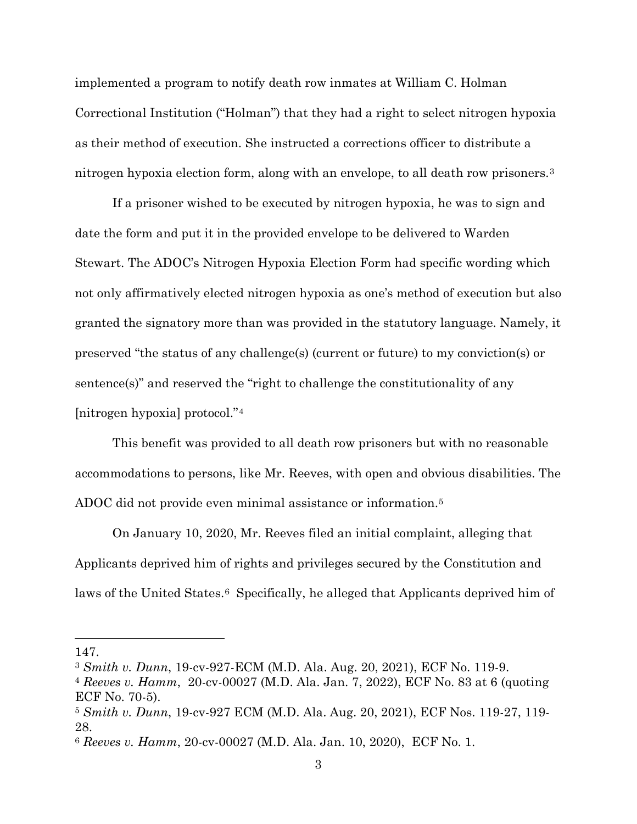implemented a program to notify death row inmates at William C. Holman Correctional Institution ("Holman") that they had a right to select nitrogen hypoxia as their method of execution. She instructed a corrections officer to distribute a nitrogen hypoxia election form, along with an envelope, to all death row prisoners.[3](#page-3-0)

If a prisoner wished to be executed by nitrogen hypoxia, he was to sign and date the form and put it in the provided envelope to be delivered to Warden Stewart. The ADOC's Nitrogen Hypoxia Election Form had specific wording which not only affirmatively elected nitrogen hypoxia as one's method of execution but also granted the signatory more than was provided in the statutory language. Namely, it preserved "the status of any challenge(s) (current or future) to my conviction(s) or sentence(s)" and reserved the "right to challenge the constitutionality of any [nitrogen hypoxia] protocol."[4](#page-3-1)

This benefit was provided to all death row prisoners but with no reasonable accommodations to persons, like Mr. Reeves, with open and obvious disabilities. The ADOC did not provide even minimal assistance or information.<sup>[5](#page-3-2)</sup>

On January 10, 2020, Mr. Reeves filed an initial complaint, alleging that Applicants deprived him of rights and privileges secured by the Constitution and laws of the United States.<sup>6</sup> Specifically, he alleged that Applicants deprived him of

<sup>147.</sup>

<span id="page-3-0"></span><sup>3</sup> *Smith v. Dunn*, 19-cv-927-ECM (M.D. Ala. Aug. 20, 2021), ECF No. 119-9.

<span id="page-3-1"></span><sup>4</sup> *Reeves v. Hamm*, 20-cv-00027 (M.D. Ala. Jan. 7, 2022), ECF No. 83 at 6 (quoting ECF No. 70-5).

<span id="page-3-2"></span><sup>5</sup> *Smith v. Dunn*, 19-cv-927 ECM (M.D. Ala. Aug. 20, 2021), ECF Nos. 119-27, 119- 28.

<span id="page-3-3"></span><sup>6</sup> *Reeves v. Hamm*, 20-cv-00027 (M.D. Ala. Jan. 10, 2020), ECF No. 1.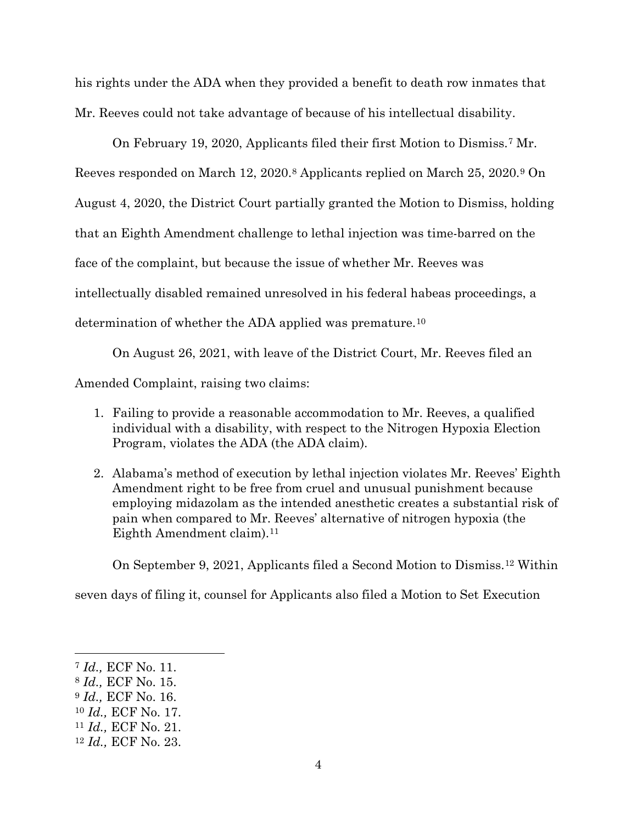his rights under the ADA when they provided a benefit to death row inmates that Mr. Reeves could not take advantage of because of his intellectual disability.

On February 19, 2020, Applicants filed their first Motion to Dismiss.[7](#page-4-0) Mr. Reeves responded on March 12, 2020.[8](#page-4-1) Applicants replied on March 25, 2020.[9](#page-4-2) On August 4, 2020, the District Court partially granted the Motion to Dismiss, holding that an Eighth Amendment challenge to lethal injection was time-barred on the face of the complaint, but because the issue of whether Mr. Reeves was intellectually disabled remained unresolved in his federal habeas proceedings, a determination of whether the ADA applied was premature.[10](#page-4-3)

On August 26, 2021, with leave of the District Court, Mr. Reeves filed an

Amended Complaint, raising two claims:

- 1. Failing to provide a reasonable accommodation to Mr. Reeves, a qualified individual with a disability, with respect to the Nitrogen Hypoxia Election Program, violates the ADA (the ADA claim).
- 2. Alabama's method of execution by lethal injection violates Mr. Reeves' Eighth Amendment right to be free from cruel and unusual punishment because employing midazolam as the intended anesthetic creates a substantial risk of pain when compared to Mr. Reeves' alternative of nitrogen hypoxia (the Eighth Amendment claim).<sup>[11](#page-4-4)</sup>

On September 9, 2021, Applicants filed a Second Motion to Dismiss.[12](#page-4-5) Within

seven days of filing it, counsel for Applicants also filed a Motion to Set Execution

<span id="page-4-0"></span><sup>7</sup> *Id.,* ECF No. 11.

<span id="page-4-1"></span><sup>8</sup> *Id.,* ECF No. 15.

<span id="page-4-2"></span><sup>9</sup> *Id.,* ECF No. 16.

<span id="page-4-3"></span><sup>10</sup> *Id.,* ECF No. 17.

<span id="page-4-4"></span><sup>11</sup> *Id.,* ECF No. 21.

<span id="page-4-5"></span><sup>12</sup> *Id.,* ECF No. 23.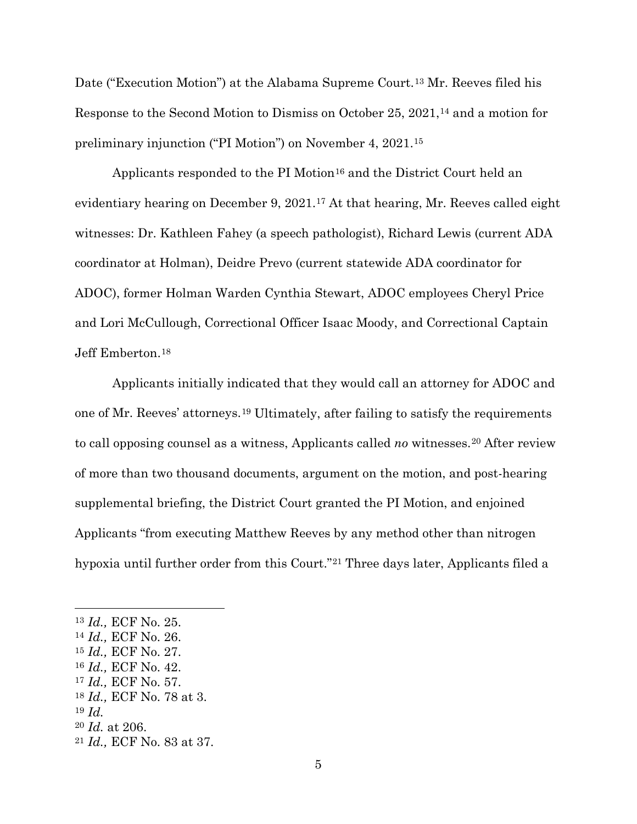Date ("Execution Motion") at the Alabama Supreme Court.<sup>[13](#page-5-0)</sup> Mr. Reeves filed his Response to the Second Motion to Dismiss on October 25, 2021,[14](#page-5-1) and a motion for preliminary injunction ("PI Motion") on November 4, 2021.[15](#page-5-2)

Applicants responded to the PI Motion<sup>[16](#page-5-3)</sup> and the District Court held an evidentiary hearing on December 9, 2021.[17](#page-5-4) At that hearing, Mr. Reeves called eight witnesses: Dr. Kathleen Fahey (a speech pathologist), Richard Lewis (current ADA coordinator at Holman), Deidre Prevo (current statewide ADA coordinator for ADOC), former Holman Warden Cynthia Stewart, ADOC employees Cheryl Price and Lori McCullough, Correctional Officer Isaac Moody, and Correctional Captain Jeff Emberton.[18](#page-5-5)

Applicants initially indicated that they would call an attorney for ADOC and one of Mr. Reeves' attorneys.[19](#page-5-6) Ultimately, after failing to satisfy the requirements to call opposing counsel as a witness, Applicants called *no* witnesses.[20](#page-5-7) After review of more than two thousand documents, argument on the motion, and post-hearing supplemental briefing, the District Court granted the PI Motion, and enjoined Applicants "from executing Matthew Reeves by any method other than nitrogen hypoxia until further order from this Court."[21](#page-5-8) Three days later, Applicants filed a

<span id="page-5-0"></span><sup>13</sup> *Id.,* ECF No. 25.

<span id="page-5-1"></span><sup>14</sup> *Id.,* ECF No. 26.

<span id="page-5-2"></span><sup>15</sup> *Id.,* ECF No. 27.

<span id="page-5-3"></span><sup>16</sup> *Id.,* ECF No. 42.

<span id="page-5-4"></span><sup>17</sup> *Id.,* ECF No. 57.

<span id="page-5-5"></span><sup>18</sup> *Id.,* ECF No. 78 at 3.

<span id="page-5-6"></span><sup>19</sup> *Id.*

<span id="page-5-7"></span><sup>20</sup> *Id.* at 206.

<span id="page-5-8"></span><sup>21</sup> *Id.,* ECF No. 83 at 37.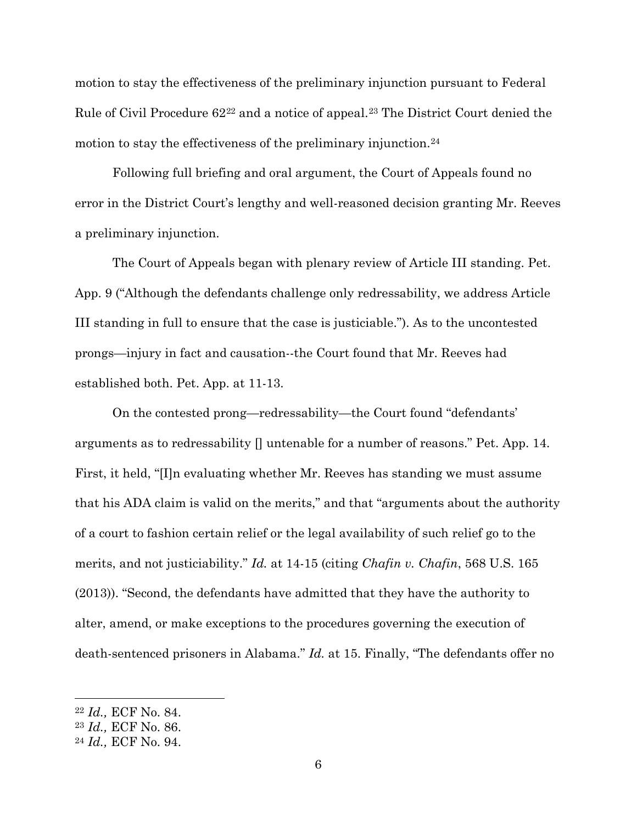motion to stay the effectiveness of the preliminary injunction pursuant to Federal Rule of Civil Procedure 62[22](#page-6-0) and a notice of appeal.[23](#page-6-1) The District Court denied the motion to stay the effectiveness of the preliminary injunction.<sup>[24](#page-6-2)</sup>

Following full briefing and oral argument, the Court of Appeals found no error in the District Court's lengthy and well-reasoned decision granting Mr. Reeves a preliminary injunction.

The Court of Appeals began with plenary review of Article III standing. Pet. App. 9 ("Although the defendants challenge only redressability, we address Article III standing in full to ensure that the case is justiciable."). As to the uncontested prongs—injury in fact and causation--the Court found that Mr. Reeves had established both. Pet. App. at 11-13.

On the contested prong—redressability—the Court found "defendants' arguments as to redressability [] untenable for a number of reasons." Pet. App. 14. First, it held, "[I]n evaluating whether Mr. Reeves has standing we must assume that his ADA claim is valid on the merits," and that "arguments about the authority of a court to fashion certain relief or the legal availability of such relief go to the merits, and not justiciability." *Id.* at 14-15 (citing *Chafin v. Chafin*, 568 U.S. 165 (2013)). "Second, the defendants have admitted that they have the authority to alter, amend, or make exceptions to the procedures governing the execution of death-sentenced prisoners in Alabama." *Id.* at 15. Finally, "The defendants offer no

<span id="page-6-0"></span><sup>22</sup> *Id.,* ECF No. 84.

<span id="page-6-1"></span><sup>23</sup> *Id.,* ECF No. 86.

<span id="page-6-2"></span><sup>24</sup> *Id.,* ECF No. 94.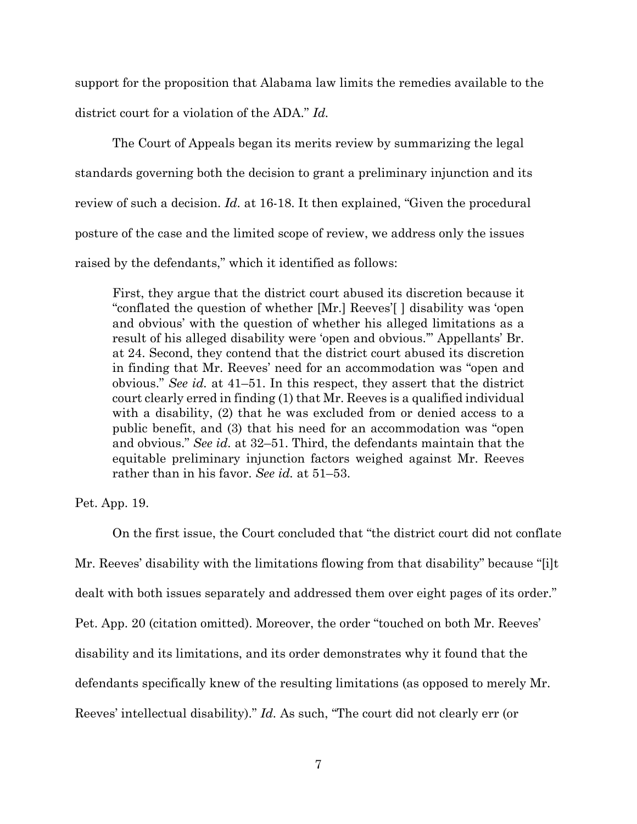support for the proposition that Alabama law limits the remedies available to the district court for a violation of the ADA." *Id.*

The Court of Appeals began its merits review by summarizing the legal standards governing both the decision to grant a preliminary injunction and its review of such a decision. *Id.* at 16-18. It then explained, "Given the procedural posture of the case and the limited scope of review, we address only the issues raised by the defendants," which it identified as follows:

First, they argue that the district court abused its discretion because it "conflated the question of whether [Mr.] Reeves'[ ] disability was 'open and obvious' with the question of whether his alleged limitations as a result of his alleged disability were 'open and obvious.'" Appellants' Br. at 24. Second, they contend that the district court abused its discretion in finding that Mr. Reeves' need for an accommodation was "open and obvious." *See id.* at 41–51. In this respect, they assert that the district court clearly erred in finding (1) that Mr. Reeves is a qualified individual with a disability, (2) that he was excluded from or denied access to a public benefit, and (3) that his need for an accommodation was "open and obvious." *See id.* at 32–51. Third, the defendants maintain that the equitable preliminary injunction factors weighed against Mr. Reeves rather than in his favor. *See id.* at 51–53.

Pet. App. 19.

On the first issue, the Court concluded that "the district court did not conflate Mr. Reeves' disability with the limitations flowing from that disability" because "[i]t dealt with both issues separately and addressed them over eight pages of its order." Pet. App. 20 (citation omitted). Moreover, the order "touched on both Mr. Reeves' disability and its limitations, and its order demonstrates why it found that the defendants specifically knew of the resulting limitations (as opposed to merely Mr. Reeves' intellectual disability)." *Id.* As such, "The court did not clearly err (or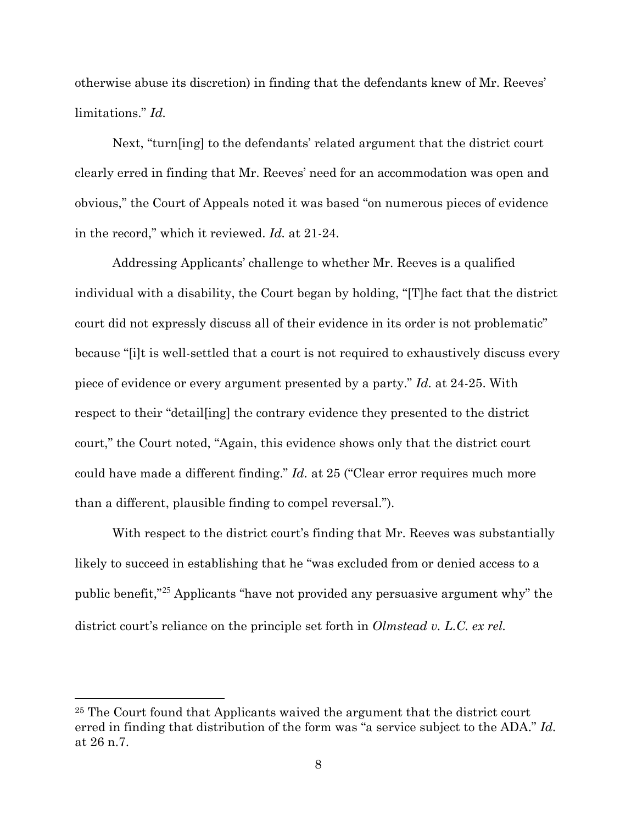otherwise abuse its discretion) in finding that the defendants knew of Mr. Reeves' limitations." *Id.*

Next, "turn[ing] to the defendants' related argument that the district court clearly erred in finding that Mr. Reeves' need for an accommodation was open and obvious," the Court of Appeals noted it was based "on numerous pieces of evidence in the record," which it reviewed. *Id.* at 21-24.

Addressing Applicants' challenge to whether Mr. Reeves is a qualified individual with a disability, the Court began by holding, "[T]he fact that the district court did not expressly discuss all of their evidence in its order is not problematic" because "[i]t is well-settled that a court is not required to exhaustively discuss every piece of evidence or every argument presented by a party." *Id.* at 24-25. With respect to their "detail[ing] the contrary evidence they presented to the district court," the Court noted, "Again, this evidence shows only that the district court could have made a different finding." *Id.* at 25 ("Clear error requires much more than a different, plausible finding to compel reversal.").

With respect to the district court's finding that Mr. Reeves was substantially likely to succeed in establishing that he "was excluded from or denied access to a public benefit,"[25](#page-8-0) Applicants "have not provided any persuasive argument why" the district court's reliance on the principle set forth in *Olmstead v. L.C. ex rel.* 

<span id="page-8-0"></span><sup>25</sup> The Court found that Applicants waived the argument that the district court erred in finding that distribution of the form was "a service subject to the ADA." *Id.* at 26 n.7.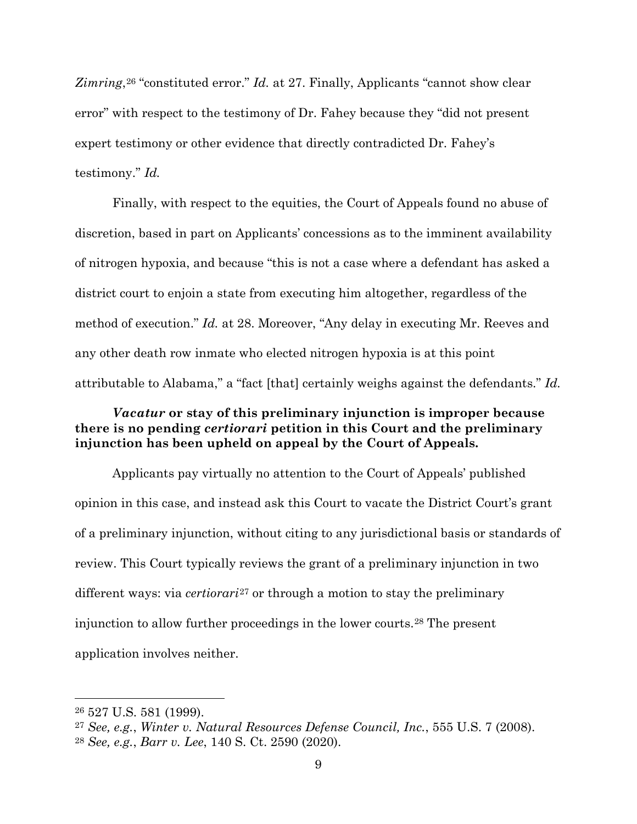Zimring<sup>, [26](#page-9-0)</sup> "constituted error." *Id.* at 27. Finally, Applicants "cannot show clear error" with respect to the testimony of Dr. Fahey because they "did not present expert testimony or other evidence that directly contradicted Dr. Fahey's testimony." *Id.*

Finally, with respect to the equities, the Court of Appeals found no abuse of discretion, based in part on Applicants' concessions as to the imminent availability of nitrogen hypoxia, and because "this is not a case where a defendant has asked a district court to enjoin a state from executing him altogether, regardless of the method of execution." *Id.* at 28. Moreover, "Any delay in executing Mr. Reeves and any other death row inmate who elected nitrogen hypoxia is at this point attributable to Alabama," a "fact [that] certainly weighs against the defendants." *Id.*

# *Vacatur* **or stay of this preliminary injunction is improper because there is no pending** *certiorari* **petition in this Court and the preliminary injunction has been upheld on appeal by the Court of Appeals.**

Applicants pay virtually no attention to the Court of Appeals' published opinion in this case, and instead ask this Court to vacate the District Court's grant of a preliminary injunction, without citing to any jurisdictional basis or standards of review. This Court typically reviews the grant of a preliminary injunction in two different ways: via *certiorari*[27](#page-9-1) or through a motion to stay the preliminary injunction to allow further proceedings in the lower courts.[28](#page-9-2) The present application involves neither.

<span id="page-9-0"></span><sup>26</sup> 527 U.S. 581 (1999).

<span id="page-9-1"></span><sup>27</sup> *See, e.g.*, *Winter v. Natural Resources Defense Council, Inc.*, 555 U.S. 7 (2008).

<span id="page-9-2"></span><sup>28</sup> *See, e.g.*, *Barr v. Lee*, 140 S. Ct. 2590 (2020).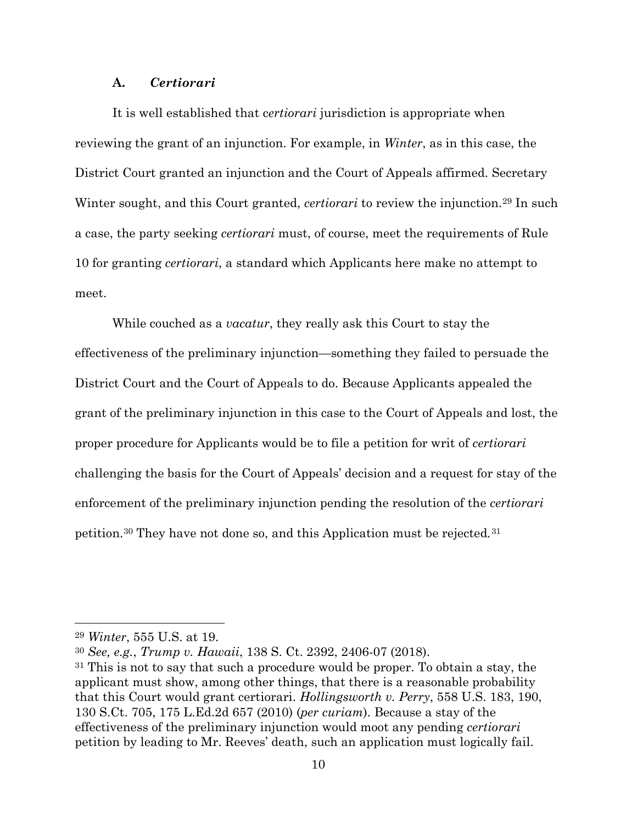## **A.** *Certiorari*

It is well established that c*ertiorari* jurisdiction is appropriate when reviewing the grant of an injunction. For example, in *Winter*, as in this case, the District Court granted an injunction and the Court of Appeals affirmed. Secretary Winter sought, and this Court granted, *certiorari* to review the injunction.[29](#page-10-0) In such a case, the party seeking *certiorari* must, of course, meet the requirements of Rule 10 for granting *certiorari*, a standard which Applicants here make no attempt to meet.

While couched as a *vacatur*, they really ask this Court to stay the effectiveness of the preliminary injunction—something they failed to persuade the District Court and the Court of Appeals to do. Because Applicants appealed the grant of the preliminary injunction in this case to the Court of Appeals and lost, the proper procedure for Applicants would be to file a petition for writ of *certiorari* challenging the basis for the Court of Appeals' decision and a request for stay of the enforcement of the preliminary injunction pending the resolution of the *certiorari*  petition.[30](#page-10-1) They have not done so, and this Application must be rejected*.*[31](#page-10-2)

<span id="page-10-0"></span><sup>29</sup> *Winter*, 555 U.S. at 19.

<span id="page-10-1"></span><sup>30</sup> *See, e.g.*, *Trump v. Hawaii*, 138 S. Ct. 2392, 2406-07 (2018).

<span id="page-10-2"></span><sup>31</sup> This is not to say that such a procedure would be proper. To obtain a stay, the applicant must show, among other things, that there is a reasonable probability that this Court would grant certiorari. *Hollingsworth v. Perry*, 558 U.S. 183, 190, 130 S.Ct. 705, 175 L.Ed.2d 657 (2010) (*per curiam*). Because a stay of the effectiveness of the preliminary injunction would moot any pending *certiorari*  petition by leading to Mr. Reeves' death, such an application must logically fail.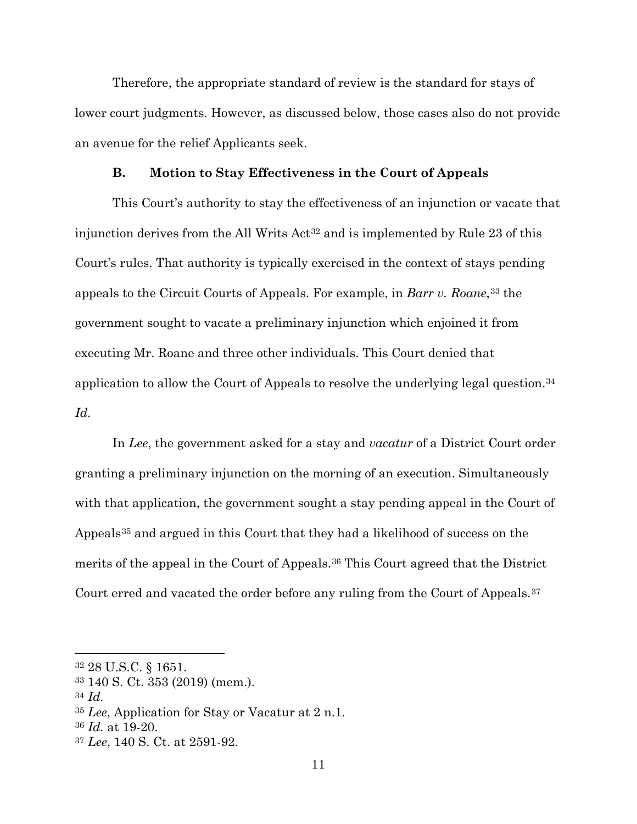Therefore, the appropriate standard of review is the standard for stays of lower court judgments. However, as discussed below, those cases also do not provide an avenue for the relief Applicants seek.

#### **B. Motion to Stay Effectiveness in the Court of Appeals**

This Court's authority to stay the effectiveness of an injunction or vacate that injunction derives from the All Writs Act<sup>[32](#page-11-0)</sup> and is implemented by Rule 23 of this Court's rules. That authority is typically exercised in the context of stays pending appeals to the Circuit Courts of Appeals. For example, in *Barr v. Roane*,[33](#page-11-1) the government sought to vacate a preliminary injunction which enjoined it from executing Mr. Roane and three other individuals. This Court denied that application to allow the Court of Appeals to resolve the underlying legal question.[34](#page-11-2) *Id.* 

In *Lee*, the government asked for a stay and *vacatur* of a District Court order granting a preliminary injunction on the morning of an execution. Simultaneously with that application, the government sought a stay pending appeal in the Court of Appeals<sup>[35](#page-11-3)</sup> and argued in this Court that they had a likelihood of success on the merits of the appeal in the Court of Appeals.[36](#page-11-4) This Court agreed that the District Court erred and vacated the order before any ruling from the Court of Appeals.[37](#page-11-5)

<span id="page-11-2"></span><sup>34</sup> *Id.*

<span id="page-11-0"></span><sup>32</sup> 28 U.S.C. § 1651.

<span id="page-11-1"></span><sup>33</sup> 140 S. Ct. 353 (2019) (mem.).

<span id="page-11-3"></span><sup>35</sup> *Lee*, Application for Stay or Vacatur at 2 n.1.

<span id="page-11-4"></span><sup>36</sup> *Id.* at 19-20.

<span id="page-11-5"></span><sup>37</sup> *Lee*, 140 S. Ct. at 2591-92.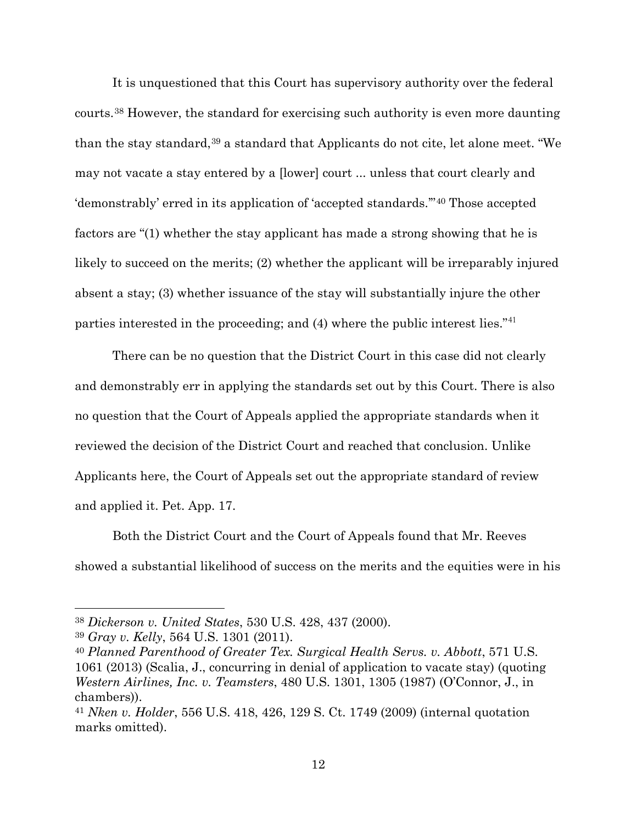It is unquestioned that this Court has supervisory authority over the federal courts.[38](#page-12-0) However, the standard for exercising such authority is even more daunting than the stay standard,<sup>[39](#page-12-1)</sup> a standard that Applicants do not cite, let alone meet. "We may not vacate a stay entered by a [lower] court ... unless that court clearly and 'demonstrably' erred in its application of 'accepted standards.'"[40](#page-12-2) Those accepted factors are "(1) whether the stay applicant has made a strong showing that he is likely to succeed on the merits; (2) whether the applicant will be irreparably injured absent a stay; (3) whether issuance of the stay will substantially injure the other parties interested in the proceeding; and (4) where the public interest lies."[41](#page-12-3)

There can be no question that the District Court in this case did not clearly and demonstrably err in applying the standards set out by this Court. There is also no question that the Court of Appeals applied the appropriate standards when it reviewed the decision of the District Court and reached that conclusion. Unlike Applicants here, the Court of Appeals set out the appropriate standard of review and applied it. Pet. App. 17.

Both the District Court and the Court of Appeals found that Mr. Reeves showed a substantial likelihood of success on the merits and the equities were in his

<span id="page-12-0"></span><sup>38</sup> *Dickerson v. United States*, 530 U.S. 428, 437 (2000).

<span id="page-12-1"></span><sup>39</sup> *Gray v. Kelly*, 564 U.S. 1301 (2011).

<span id="page-12-2"></span><sup>40</sup> *Planned Parenthood of Greater Tex. Surgical Health Servs. v. Abbott*, 571 U.S. 1061 (2013) (Scalia, J., concurring in denial of application to vacate stay) (quoting *Western Airlines, Inc. v. Teamsters*, 480 U.S. 1301, 1305 (1987) (O'Connor, J., in chambers)).

<span id="page-12-3"></span><sup>41</sup> *Nken v. Holder*, 556 U.S. 418, 426, 129 S. Ct. 1749 (2009) (internal quotation marks omitted).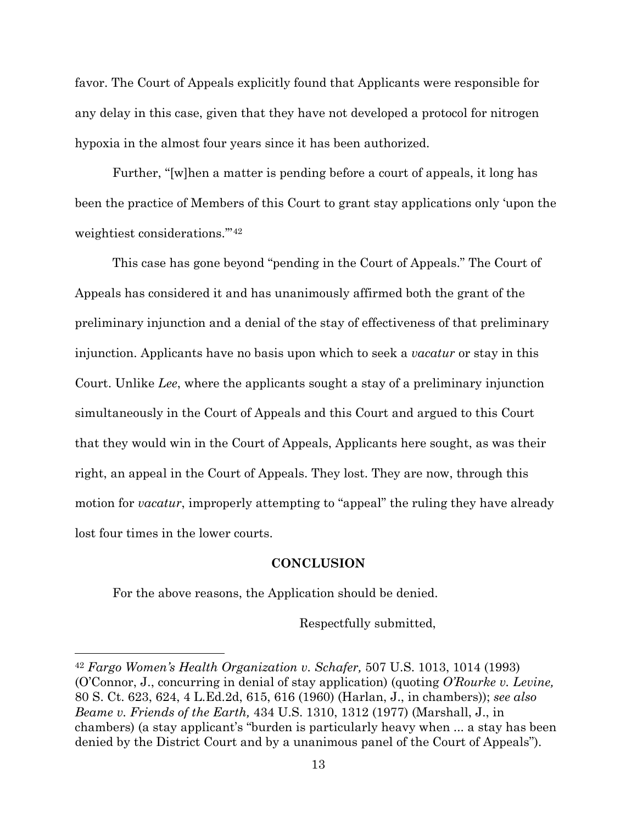favor. The Court of Appeals explicitly found that Applicants were responsible for any delay in this case, given that they have not developed a protocol for nitrogen hypoxia in the almost four years since it has been authorized.

Further, "[w]hen a matter is pending before a court of appeals, it long has been the practice of Members of this Court to grant stay applications only 'upon the weightiest considerations.'"[42](#page-13-0)

This case has gone beyond "pending in the Court of Appeals." The Court of Appeals has considered it and has unanimously affirmed both the grant of the preliminary injunction and a denial of the stay of effectiveness of that preliminary injunction. Applicants have no basis upon which to seek a *vacatur* or stay in this Court. Unlike *Lee*, where the applicants sought a stay of a preliminary injunction simultaneously in the Court of Appeals and this Court and argued to this Court that they would win in the Court of Appeals, Applicants here sought, as was their right, an appeal in the Court of Appeals. They lost. They are now, through this motion for *vacatur*, improperly attempting to "appeal" the ruling they have already lost four times in the lower courts.

## **CONCLUSION**

For the above reasons, the Application should be denied.

Respectfully submitted,

<span id="page-13-0"></span><sup>42</sup> *Fargo Women's Health Organization v. Schafer,* 507 U.S. 1013, 1014 (1993) (O'Connor, J., concurring in denial of stay application) (quoting *O'Rourke v. Levine,* 80 S. Ct. 623, 624, 4 L.Ed.2d, 615, 616 (1960) (Harlan, J., in chambers)); *see also Beame v. Friends of the Earth,* 434 U.S. 1310, 1312 (1977) (Marshall, J., in chambers) (a stay applicant's "burden is particularly heavy when ... a stay has been denied by the District Court and by a unanimous panel of the Court of Appeals").